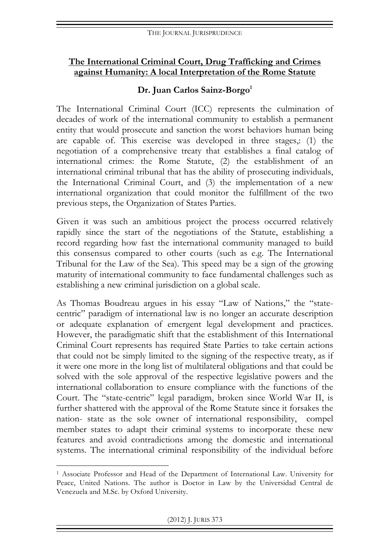#### **The International Criminal Court, Drug Trafficking and Crimes against Humanity: A local Interpretation of the Rome Statute**

## Dr. Juan Carlos Sainz-Borgo<sup>1</sup>

The International Criminal Court (ICC) represents the culmination of decades of work of the international community to establish a permanent entity that would prosecute and sanction the worst behaviors human being are capable of. This exercise was developed in three stages,: (1) the negotiation of a comprehensive treaty that establishes a final catalog of international crimes: the Rome Statute, (2) the establishment of an international criminal tribunal that has the ability of prosecuting individuals, the International Criminal Court, and (3) the implementation of a new international organization that could monitor the fulfillment of the two previous steps, the Organization of States Parties.

Given it was such an ambitious project the process occurred relatively rapidly since the start of the negotiations of the Statute, establishing a record regarding how fast the international community managed to build this consensus compared to other courts (such as e.g. The International Tribunal for the Law of the Sea). This speed may be a sign of the growing maturity of international community to face fundamental challenges such as establishing a new criminal jurisdiction on a global scale.

As Thomas Boudreau argues in his essay "Law of Nations," the "statecentric" paradigm of international law is no longer an accurate description or adequate explanation of emergent legal development and practices. However, the paradigmatic shift that the establishment of this International Criminal Court represents has required State Parties to take certain actions that could not be simply limited to the signing of the respective treaty, as if it were one more in the long list of multilateral obligations and that could be solved with the sole approval of the respective legislative powers and the international collaboration to ensure compliance with the functions of the Court. The "state-centric" legal paradigm, broken since World War II, is further shattered with the approval of the Rome Statute since it forsakes the nation- state as the sole owner of international responsibility, compel member states to adapt their criminal systems to incorporate these new features and avoid contradictions among the domestic and international systems. The international criminal responsibility of the individual before

 $\overline{a}$ <sup>1</sup> Associate Professor and Head of the Department of International Law. University for Peace, United Nations. The author is Doctor in Law by the Universidad Central de Venezuela and M.Sc. by Oxford University.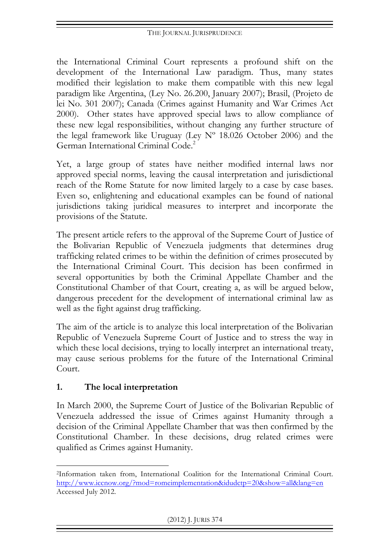the International Criminal Court represents a profound shift on the development of the International Law paradigm. Thus, many states modified their legislation to make them compatible with this new legal paradigm like Argentina, (Ley No. 26.200, January 2007); Brasil, (Projeto de lei No. 301 2007); Canada (Crimes against Humanity and War Crimes Act 2000). Other states have approved special laws to allow compliance of these new legal responsibilities, without changing any further structure of the legal framework like Uruguay (Ley  $N^{\circ}$  18.026 October 2006) and the German International Criminal Code.2

Yet, a large group of states have neither modified internal laws nor approved special norms, leaving the causal interpretation and jurisdictional reach of the Rome Statute for now limited largely to a case by case bases. Even so, enlightening and educational examples can be found of national jurisdictions taking juridical measures to interpret and incorporate the provisions of the Statute.

The present article refers to the approval of the Supreme Court of Justice of the Bolivarian Republic of Venezuela judgments that determines drug trafficking related crimes to be within the definition of crimes prosecuted by the International Criminal Court. This decision has been confirmed in several opportunities by both the Criminal Appellate Chamber and the Constitutional Chamber of that Court, creating a, as will be argued below, dangerous precedent for the development of international criminal law as well as the fight against drug trafficking.

The aim of the article is to analyze this local interpretation of the Bolivarian Republic of Venezuela Supreme Court of Justice and to stress the way in which these local decisions, trying to locally interpret an international treaty, may cause serious problems for the future of the International Criminal Court.

# **1. The local interpretation**

In March 2000, the Supreme Court of Justice of the Bolivarian Republic of Venezuela addressed the issue of Crimes against Humanity through a decision of the Criminal Appellate Chamber that was then confirmed by the Constitutional Chamber. In these decisions, drug related crimes were qualified as Crimes against Humanity.

 $\overline{a}$ 2Information taken from, International Coalition for the International Criminal Court. http://www.iccnow.org/?mod=romeimplementation&idudctp=20&show=all&lang=en Accessed July 2012.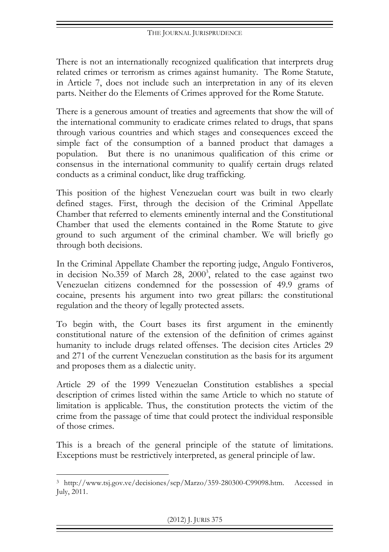There is not an internationally recognized qualification that interprets drug related crimes or terrorism as crimes against humanity. The Rome Statute, in Article 7, does not include such an interpretation in any of its eleven parts. Neither do the Elements of Crimes approved for the Rome Statute.

There is a generous amount of treaties and agreements that show the will of the international community to eradicate crimes related to drugs, that spans through various countries and which stages and consequences exceed the simple fact of the consumption of a banned product that damages a population. But there is no unanimous qualification of this crime or consensus in the international community to qualify certain drugs related conducts as a criminal conduct, like drug trafficking.

This position of the highest Venezuelan court was built in two clearly defined stages. First, through the decision of the Criminal Appellate Chamber that referred to elements eminently internal and the Constitutional Chamber that used the elements contained in the Rome Statute to give ground to such argument of the criminal chamber. We will briefly go through both decisions.

In the Criminal Appellate Chamber the reporting judge, Angulo Fontiveros, in decision No.359 of March 28, 2000<sup>3</sup>, related to the case against two Venezuelan citizens condemned for the possession of 49.9 grams of cocaine, presents his argument into two great pillars: the constitutional regulation and the theory of legally protected assets.

To begin with, the Court bases its first argument in the eminently constitutional nature of the extension of the definition of crimes against humanity to include drugs related offenses. The decision cites Articles 29 and 271 of the current Venezuelan constitution as the basis for its argument and proposes them as a dialectic unity.

Article 29 of the 1999 Venezuelan Constitution establishes a special description of crimes listed within the same Article to which no statute of limitation is applicable. Thus, the constitution protects the victim of the crime from the passage of time that could protect the individual responsible of those crimes.

This is a breach of the general principle of the statute of limitations. Exceptions must be restrictively interpreted, as general principle of law.

 $\overline{a}$ <sup>3</sup> http://www.tsj.gov.ve/decisiones/scp/Marzo/359-280300-C99098.htm. Accessed in July, 2011.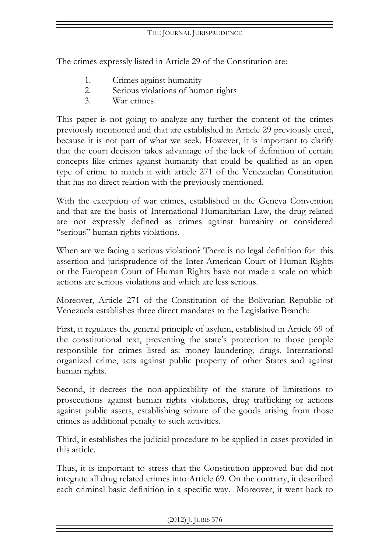The crimes expressly listed in Article 29 of the Constitution are:

- 1. Crimes against humanity
- 2. Serious violations of human rights
- 3. War crimes

This paper is not going to analyze any further the content of the crimes previously mentioned and that are established in Article 29 previously cited, because it is not part of what we seek. However, it is important to clarify that the court decision takes advantage of the lack of definition of certain concepts like crimes against humanity that could be qualified as an open type of crime to match it with article 271 of the Venezuelan Constitution that has no direct relation with the previously mentioned.

With the exception of war crimes, established in the Geneva Convention and that are the basis of International Humanitarian Law, the drug related are not expressly defined as crimes against humanity or considered "serious" human rights violations.

When are we facing a serious violation? There is no legal definition for this assertion and jurisprudence of the Inter-American Court of Human Rights or the European Court of Human Rights have not made a scale on which actions are serious violations and which are less serious.

Moreover, Article 271 of the Constitution of the Bolivarian Republic of Venezuela establishes three direct mandates to the Legislative Branch:

First, it regulates the general principle of asylum, established in Article 69 of the constitutional text, preventing the state's protection to those people responsible for crimes listed as: money laundering, drugs, International organized crime, acts against public property of other States and against human rights.

Second, it decrees the non-applicability of the statute of limitations to prosecutions against human rights violations, drug trafficking or actions against public assets, establishing seizure of the goods arising from those crimes as additional penalty to such activities.

Third, it establishes the judicial procedure to be applied in cases provided in this article.

Thus, it is important to stress that the Constitution approved but did not integrate all drug related crimes into Article 69. On the contrary, it described each criminal basic definition in a specific way. Moreover, it went back to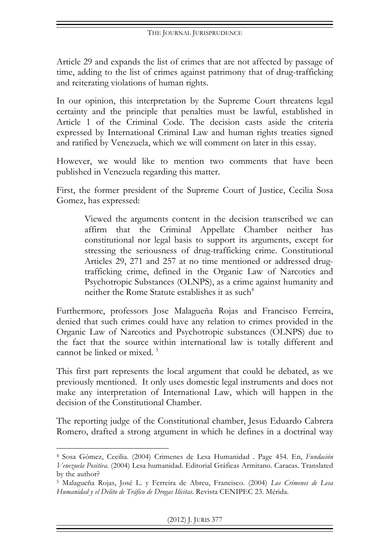Article 29 and expands the list of crimes that are not affected by passage of time, adding to the list of crimes against patrimony that of drug-trafficking and reiterating violations of human rights.

In our opinion, this interpretation by the Supreme Court threatens legal certainty and the principle that penalties must be lawful, established in Article 1 of the Criminal Code. The decision casts aside the criteria expressed by International Criminal Law and human rights treaties signed and ratified by Venezuela, which we will comment on later in this essay.

However, we would like to mention two comments that have been published in Venezuela regarding this matter.

First, the former president of the Supreme Court of Justice, Cecilia Sosa Gomez, has expressed:

> Viewed the arguments content in the decision transcribed we can affirm that the Criminal Appellate Chamber neither has constitutional nor legal basis to support its arguments, except for stressing the seriousness of drug-trafficking crime. Constitutional Articles 29, 271 and 257 at no time mentioned or addressed drugtrafficking crime, defined in the Organic Law of Narcotics and Psychotropic Substances (OLNPS), as a crime against humanity and neither the Rome Statute establishes it as such  $4$

Furthermore, professors Jose Malagueña Rojas and Francisco Ferreira, denied that such crimes could have any relation to crimes provided in the Organic Law of Narcotics and Psychotropic substances (OLNPS) due to the fact that the source within international law is totally different and cannot be linked or mixed. 5

This first part represents the local argument that could be debated, as we previously mentioned. It only uses domestic legal instruments and does not make any interpretation of International Law, which will happen in the decision of the Constitutional Chamber.

The reporting judge of the Constitutional chamber, Jesus Eduardo Cabrera Romero, drafted a strong argument in which he defines in a doctrinal way

 $\overline{a}$ <sup>4</sup> Sosa Gómez, Cecilia. (2004) Crimenes de Lesa Humanidad . Page 454. En, *Fundación Venezuela Positiva*. (2004) Lesa humanidad. Editorial Gráficas Armitano. Caracas. Translated by the author?

<sup>5</sup> Malagueña Rojas, José L. y Ferreira de Abreu, Francisco. (2004) *Los Crímenes de Lesa Humanidad y el Delito de Tráfico de Drogas Ilícitas*. Revista CENIPEC 23. Mérida.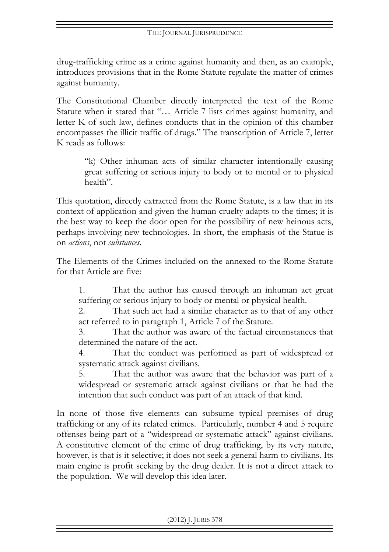drug-trafficking crime as a crime against humanity and then, as an example, introduces provisions that in the Rome Statute regulate the matter of crimes against humanity.

The Constitutional Chamber directly interpreted the text of the Rome Statute when it stated that "… Article 7 lists crimes against humanity, and letter K of such law, defines conducts that in the opinion of this chamber encompasses the illicit traffic of drugs." The transcription of Article 7, letter K reads as follows:

> "k) Other inhuman acts of similar character intentionally causing great suffering or serious injury to body or to mental or to physical health".

This quotation, directly extracted from the Rome Statute, is a law that in its context of application and given the human cruelty adapts to the times; it is the best way to keep the door open for the possibility of new heinous acts, perhaps involving new technologies. In short, the emphasis of the Statue is on *actions*, not *substances*.

The Elements of the Crimes included on the annexed to the Rome Statute for that Article are five:

1. That the author has caused through an inhuman act great suffering or serious injury to body or mental or physical health.

2. That such act had a similar character as to that of any other act referred to in paragraph 1, Article 7 of the Statute.

3. That the author was aware of the factual circumstances that determined the nature of the act.

4. That the conduct was performed as part of widespread or systematic attack against civilians.

5. That the author was aware that the behavior was part of a widespread or systematic attack against civilians or that he had the intention that such conduct was part of an attack of that kind.

In none of those five elements can subsume typical premises of drug trafficking or any of its related crimes. Particularly, number 4 and 5 require offenses being part of a "widespread or systematic attack" against civilians. A constitutive element of the crime of drug trafficking, by its very nature, however, is that is it selective; it does not seek a general harm to civilians. Its main engine is profit seeking by the drug dealer. It is not a direct attack to the population. We will develop this idea later.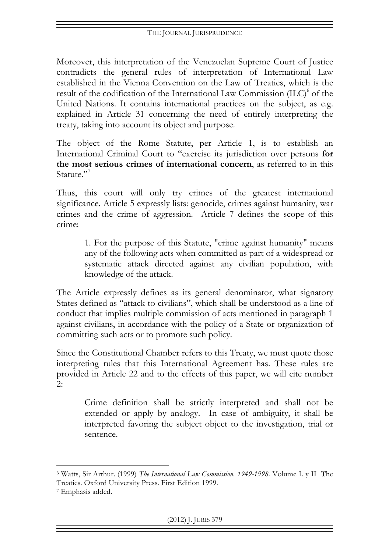Moreover, this interpretation of the Venezuelan Supreme Court of Justice contradicts the general rules of interpretation of International Law established in the Vienna Convention on the Law of Treaties, which is the result of the codification of the International Law Commission (ILC)<sup>6</sup> of the United Nations. It contains international practices on the subject, as e.g. explained in Article 31 concerning the need of entirely interpreting the treaty, taking into account its object and purpose.

The object of the Rome Statute, per Article 1, is to establish an International Criminal Court to "exercise its jurisdiction over persons **for the most serious crimes of international concern**, as referred to in this Statute."<sup>7</sup>

Thus, this court will only try crimes of the greatest international significance. Article 5 expressly lists: genocide, crimes against humanity, war crimes and the crime of aggression. Article 7 defines the scope of this crime:

> 1. For the purpose of this Statute, "crime against humanity" means any of the following acts when committed as part of a widespread or systematic attack directed against any civilian population, with knowledge of the attack.

The Article expressly defines as its general denominator, what signatory States defined as "attack to civilians", which shall be understood as a line of conduct that implies multiple commission of acts mentioned in paragraph 1 against civilians, in accordance with the policy of a State or organization of committing such acts or to promote such policy.

Since the Constitutional Chamber refers to this Treaty, we must quote those interpreting rules that this International Agreement has. These rules are provided in Article 22 and to the effects of this paper, we will cite number  $2.5$ 

> Crime definition shall be strictly interpreted and shall not be extended or apply by analogy. In case of ambiguity, it shall be interpreted favoring the subject object to the investigation, trial or sentence.

 $\overline{a}$ 

<sup>6</sup> Watts, Sir Arthur. (1999) *The International Law Commission. 1949-1998.* Volume I. y II The Treaties. Oxford University Press. First Edition 1999.

<sup>7</sup> Emphasis added.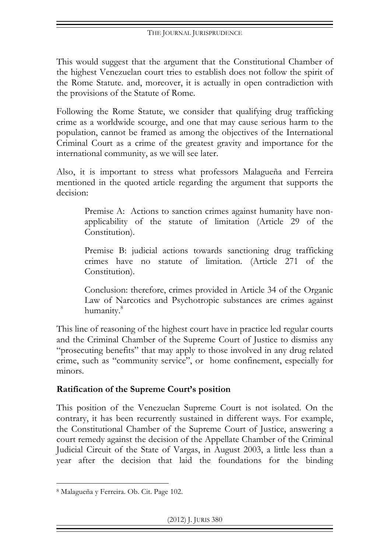This would suggest that the argument that the Constitutional Chamber of the highest Venezuelan court tries to establish does not follow the spirit of the Rome Statute. and, moreover, it is actually in open contradiction with the provisions of the Statute of Rome.

Following the Rome Statute, we consider that qualifying drug trafficking crime as a worldwide scourge, and one that may cause serious harm to the population, cannot be framed as among the objectives of the International Criminal Court as a crime of the greatest gravity and importance for the international community, as we will see later.

Also, it is important to stress what professors Malagueña and Ferreira mentioned in the quoted article regarding the argument that supports the decision:

Premise A: Actions to sanction crimes against humanity have nonapplicability of the statute of limitation (Article 29 of the Constitution).

Premise B: judicial actions towards sanctioning drug trafficking crimes have no statute of limitation. (Article 271 of the Constitution).

Conclusion: therefore, crimes provided in Article 34 of the Organic Law of Narcotics and Psychotropic substances are crimes against humanity.<sup>8</sup>

This line of reasoning of the highest court have in practice led regular courts and the Criminal Chamber of the Supreme Court of Justice to dismiss any "prosecuting benefits" that may apply to those involved in any drug related crime, such as "community service", or home confinement, especially for minors.

# **Ratification of the Supreme Court's position**

This position of the Venezuelan Supreme Court is not isolated. On the contrary, it has been recurrently sustained in different ways. For example, the Constitutional Chamber of the Supreme Court of Justice, answering a court remedy against the decision of the Appellate Chamber of the Criminal Judicial Circuit of the State of Vargas, in August 2003, a little less than a year after the decision that laid the foundations for the binding

 $\overline{a}$ <sup>8</sup> Malagueña y Ferreira. Ob. Cit. Page 102.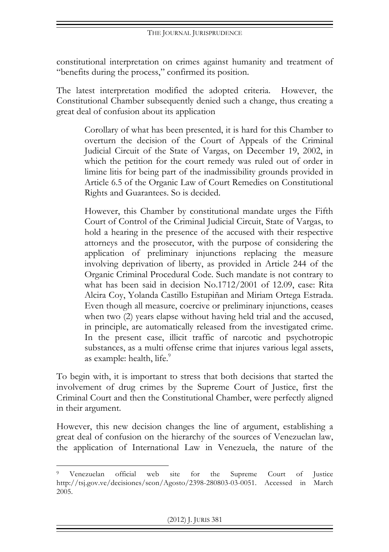constitutional interpretation on crimes against humanity and treatment of "benefits during the process," confirmed its position.

The latest interpretation modified the adopted criteria. However, the Constitutional Chamber subsequently denied such a change, thus creating a great deal of confusion about its application

> Corollary of what has been presented, it is hard for this Chamber to overturn the decision of the Court of Appeals of the Criminal Judicial Circuit of the State of Vargas, on December 19, 2002, in which the petition for the court remedy was ruled out of order in limine litis for being part of the inadmissibility grounds provided in Article 6.5 of the Organic Law of Court Remedies on Constitutional Rights and Guarantees. So is decided.

> However, this Chamber by constitutional mandate urges the Fifth Court of Control of the Criminal Judicial Circuit, State of Vargas, to hold a hearing in the presence of the accused with their respective attorneys and the prosecutor, with the purpose of considering the application of preliminary injunctions replacing the measure involving deprivation of liberty, as provided in Article 244 of the Organic Criminal Procedural Code. Such mandate is not contrary to what has been said in decision No.1712/2001 of 12.09, case: Rita Alcira Coy, Yolanda Castillo Estupiñan and Miriam Ortega Estrada. Even though all measure, coercive or preliminary injunctions, ceases when two (2) years elapse without having held trial and the accused, in principle, are automatically released from the investigated crime. In the present case, illicit traffic of narcotic and psychotropic substances, as a multi offense crime that injures various legal assets, as example: health, life.<sup>9</sup>

To begin with, it is important to stress that both decisions that started the involvement of drug crimes by the Supreme Court of Justice, first the Criminal Court and then the Constitutional Chamber, were perfectly aligned in their argument.

However, this new decision changes the line of argument, establishing a great deal of confusion on the hierarchy of the sources of Venezuelan law, the application of International Law in Venezuela, the nature of the

 $\overline{a}$ 

<sup>9</sup> Venezuelan official web site for the Supreme Court of Justice http://tsj.gov.ve/decisiones/scon/Agosto/2398-280803-03-0051. Accessed in March 2005.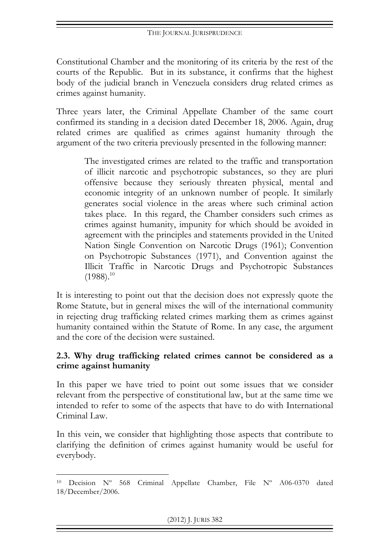Constitutional Chamber and the monitoring of its criteria by the rest of the courts of the Republic. But in its substance, it confirms that the highest body of the judicial branch in Venezuela considers drug related crimes as crimes against humanity.

Three years later, the Criminal Appellate Chamber of the same court confirmed its standing in a decision dated December 18, 2006. Again, drug related crimes are qualified as crimes against humanity through the argument of the two criteria previously presented in the following manner:

> The investigated crimes are related to the traffic and transportation of illicit narcotic and psychotropic substances, so they are pluri offensive because they seriously threaten physical, mental and economic integrity of an unknown number of people. It similarly generates social violence in the areas where such criminal action takes place. In this regard, the Chamber considers such crimes as crimes against humanity, impunity for which should be avoided in agreement with the principles and statements provided in the United Nation Single Convention on Narcotic Drugs (1961); Convention on Psychotropic Substances (1971), and Convention against the Illicit Traffic in Narcotic Drugs and Psychotropic Substances  $(1988).^{10}$

It is interesting to point out that the decision does not expressly quote the Rome Statute, but in general mixes the will of the international community in rejecting drug trafficking related crimes marking them as crimes against humanity contained within the Statute of Rome. In any case, the argument and the core of the decision were sustained.

### **2.3. Why drug trafficking related crimes cannot be considered as a crime against humanity**

In this paper we have tried to point out some issues that we consider relevant from the perspective of constitutional law, but at the same time we intended to refer to some of the aspects that have to do with International Criminal Law.

In this vein, we consider that highlighting those aspects that contribute to clarifying the definition of crimes against humanity would be useful for everybody.

 $\overline{a}$ <sup>10</sup> Decision Nº 568 Criminal Appellate Chamber, File Nº A06-0370 dated 18/December/2006.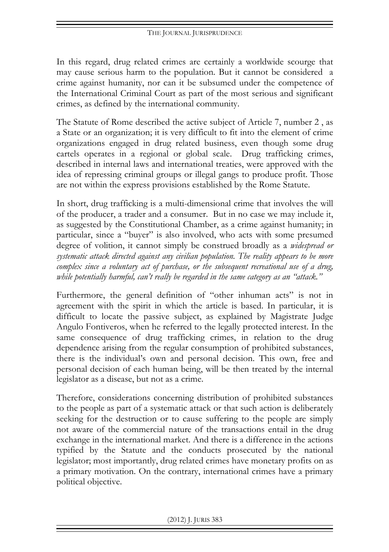In this regard, drug related crimes are certainly a worldwide scourge that may cause serious harm to the population. But it cannot be considered a crime against humanity, nor can it be subsumed under the competence of the International Criminal Court as part of the most serious and significant crimes, as defined by the international community.

The Statute of Rome described the active subject of Article 7, number 2 , as a State or an organization; it is very difficult to fit into the element of crime organizations engaged in drug related business, even though some drug cartels operates in a regional or global scale. Drug trafficking crimes, described in internal laws and international treaties, were approved with the idea of repressing criminal groups or illegal gangs to produce profit. Those are not within the express provisions established by the Rome Statute.

In short, drug trafficking is a multi-dimensional crime that involves the will of the producer, a trader and a consumer. But in no case we may include it, as suggested by the Constitutional Chamber, as a crime against humanity; in particular, since a "buyer" is also involved, who acts with some presumed degree of volition, it cannot simply be construed broadly as a *widespread or systematic attack directed against any civilian population. The reality appears to be more complex since a voluntary act of purchase, or the subsequent recreational use of a drug, while potentially harmful, can't really be regarded in the same category as an "attack."*

Furthermore, the general definition of "other inhuman acts" is not in agreement with the spirit in which the article is based. In particular, it is difficult to locate the passive subject, as explained by Magistrate Judge Angulo Fontiveros, when he referred to the legally protected interest. In the same consequence of drug trafficking crimes, in relation to the drug dependence arising from the regular consumption of prohibited substances, there is the individual's own and personal decision. This own, free and personal decision of each human being, will be then treated by the internal legislator as a disease, but not as a crime.

Therefore, considerations concerning distribution of prohibited substances to the people as part of a systematic attack or that such action is deliberately seeking for the destruction or to cause suffering to the people are simply not aware of the commercial nature of the transactions entail in the drug exchange in the international market. And there is a difference in the actions typified by the Statute and the conducts prosecuted by the national legislator; most importantly, drug related crimes have monetary profits on as a primary motivation. On the contrary, international crimes have a primary political objective.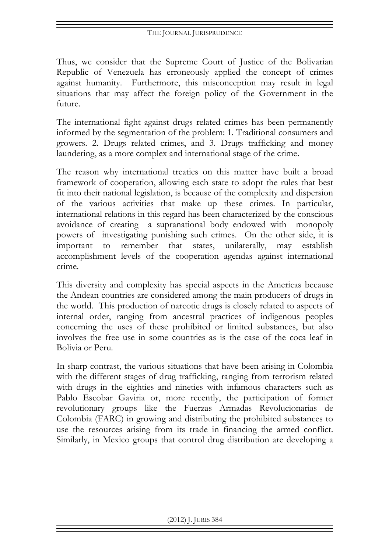Thus, we consider that the Supreme Court of Justice of the Bolivarian Republic of Venezuela has erroneously applied the concept of crimes against humanity. Furthermore, this misconception may result in legal situations that may affect the foreign policy of the Government in the future.

The international fight against drugs related crimes has been permanently informed by the segmentation of the problem: 1. Traditional consumers and growers. 2. Drugs related crimes, and 3. Drugs trafficking and money laundering, as a more complex and international stage of the crime.

The reason why international treaties on this matter have built a broad framework of cooperation, allowing each state to adopt the rules that best fit into their national legislation, is because of the complexity and dispersion of the various activities that make up these crimes. In particular, international relations in this regard has been characterized by the conscious avoidance of creating a supranational body endowed with monopoly powers of investigating punishing such crimes. On the other side, it is important to remember that states, unilaterally, may establish accomplishment levels of the cooperation agendas against international crime.

This diversity and complexity has special aspects in the Americas because the Andean countries are considered among the main producers of drugs in the world. This production of narcotic drugs is closely related to aspects of internal order, ranging from ancestral practices of indigenous peoples concerning the uses of these prohibited or limited substances, but also involves the free use in some countries as is the case of the coca leaf in Bolivia or Peru.

In sharp contrast, the various situations that have been arising in Colombia with the different stages of drug trafficking, ranging from terrorism related with drugs in the eighties and nineties with infamous characters such as Pablo Escobar Gaviria or, more recently, the participation of former revolutionary groups like the Fuerzas Armadas Revolucionarias de Colombia (FARC) in growing and distributing the prohibited substances to use the resources arising from its trade in financing the armed conflict. Similarly, in Mexico groups that control drug distribution are developing a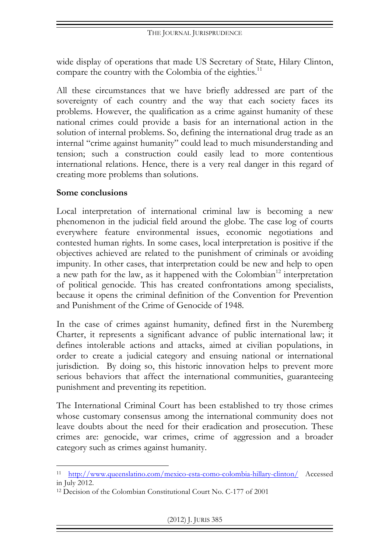wide display of operations that made US Secretary of State, Hilary Clinton, compare the country with the Colombia of the eighties.<sup>11</sup>

All these circumstances that we have briefly addressed are part of the sovereignty of each country and the way that each society faces its problems. However, the qualification as a crime against humanity of these national crimes could provide a basis for an international action in the solution of internal problems. So, defining the international drug trade as an internal "crime against humanity" could lead to much misunderstanding and tension; such a construction could easily lead to more contentious international relations. Hence, there is a very real danger in this regard of creating more problems than solutions.

#### **Some conclusions**

 $\overline{a}$ 

Local interpretation of international criminal law is becoming a new phenomenon in the judicial field around the globe. The case log of courts everywhere feature environmental issues, economic negotiations and contested human rights. In some cases, local interpretation is positive if the objectives achieved are related to the punishment of criminals or avoiding impunity. In other cases, that interpretation could be new and help to open a new path for the law, as it happened with the Colombian<sup>12</sup> interpretation of political genocide. This has created confrontations among specialists, because it opens the criminal definition of the Convention for Prevention and Punishment of the Crime of Genocide of 1948.

In the case of crimes against humanity, defined first in the Nuremberg Charter, it represents a significant advance of public international law; it defines intolerable actions and attacks, aimed at civilian populations, in order to create a judicial category and ensuing national or international jurisdiction. By doing so, this historic innovation helps to prevent more serious behaviors that affect the international communities, guaranteeing punishment and preventing its repetition.

The International Criminal Court has been established to try those crimes whose customary consensus among the international community does not leave doubts about the need for their eradication and prosecution. These crimes are: genocide, war crimes, crime of aggression and a broader category such as crimes against humanity.

<sup>11</sup> http://www.queenslatino.com/mexico-esta-como-colombia-hillary-clinton/ Accessed in July 2012.

<sup>12</sup> Decision of the Colombian Constitutional Court No. C-177 of 2001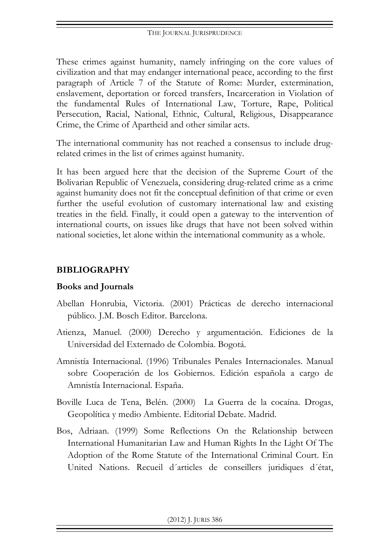These crimes against humanity, namely infringing on the core values of civilization and that may endanger international peace, according to the first paragraph of Article 7 of the Statute of Rome: Murder, extermination, enslavement, deportation or forced transfers, Incarceration in Violation of the fundamental Rules of International Law, Torture, Rape, Political Persecution, Racial, National, Ethnic, Cultural, Religious, Disappearance Crime, the Crime of Apartheid and other similar acts.

The international community has not reached a consensus to include drugrelated crimes in the list of crimes against humanity.

It has been argued here that the decision of the Supreme Court of the Bolivarian Republic of Venezuela, considering drug-related crime as a crime against humanity does not fit the conceptual definition of that crime or even further the useful evolution of customary international law and existing treaties in the field. Finally, it could open a gateway to the intervention of international courts, on issues like drugs that have not been solved within national societies, let alone within the international community as a whole.

### **BIBLIOGRAPHY**

### **Books and Journals**

- Abellan Honrubia, Victoria. (2001) Prácticas de derecho internacional público. J.M. Bosch Editor. Barcelona.
- Atienza, Manuel. (2000) Derecho y argumentación. Ediciones de la Universidad del Externado de Colombia. Bogotá.
- Amnistía Internacional. (1996) Tribunales Penales Internacionales. Manual sobre Cooperación de los Gobiernos. Edición española a cargo de Amnistía Internacional. España.
- Boville Luca de Tena, Belén. (2000) La Guerra de la cocaína. Drogas, Geopolítica y medio Ambiente. Editorial Debate. Madrid.
- Bos, Adriaan. (1999) Some Reflections On the Relationship between International Humanitarian Law and Human Rights In the Light Of The Adoption of the Rome Statute of the International Criminal Court. En United Nations. Recueil d´articles de conseillers juridiques d´état,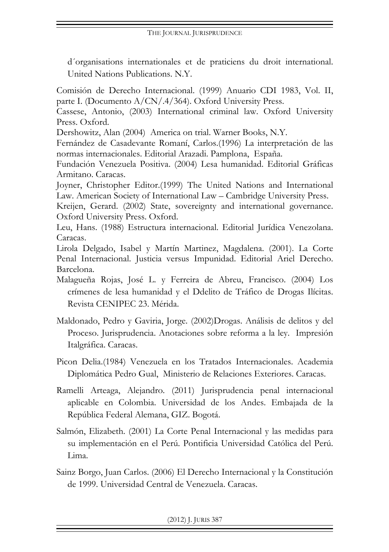d´organisations internationales et de praticiens du droit international. United Nations Publications. N.Y.

Comisión de Derecho Internacional. (1999) Anuario CDI 1983, Vol. II, parte I. (Documento A/CN/.4/364). Oxford University Press.

Cassese, Antonio, (2003) International criminal law. Oxford University Press. Oxford.

Dershowitz, Alan (2004) America on trial. Warner Books, N.Y.

Fernández de Casadevante Romaní, Carlos.(1996) La interpretación de las normas internacionales. Editorial Arazadi. Pamplona, España.

Fundación Venezuela Positiva. (2004) Lesa humanidad. Editorial Gráficas Armitano. Caracas.

Joyner, Christopher Editor.(1999) The United Nations and International Law. American Society of International Law – Cambridge University Press.

Kreijen, Gerard. (2002) State, sovereignty and international governance. Oxford University Press. Oxford.

Leu, Hans. (1988) Estructura internacional. Editorial Jurídica Venezolana. Caracas.

Lirola Delgado, Isabel y Martín Martinez, Magdalena. (2001). La Corte Penal Internacional. Justicia versus Impunidad. Editorial Ariel Derecho. Barcelona.

- Malagueña Rojas, José L. y Ferreira de Abreu, Francisco. (2004) Los crímenes de lesa humanidad y el Ddelito de Tráfico de Drogas Ilícitas. Revista CENIPEC 23. Mérida.
- Maldonado, Pedro y Gaviria, Jorge. (2002)Drogas. Análisis de delitos y del Proceso. Jurisprudencia. Anotaciones sobre reforma a la ley. Impresión Italgráfica. Caracas.
- Picon Delia.(1984) Venezuela en los Tratados Internacionales. Academia Diplomática Pedro Gual, Ministerio de Relaciones Exteriores. Caracas.
- Ramelli Arteaga, Alejandro. (2011) Jurisprudencia penal internacional aplicable en Colombia. Universidad de los Andes. Embajada de la República Federal Alemana, GIZ. Bogotá.
- Salmón, Elizabeth. (2001) La Corte Penal Internacional y las medidas para su implementación en el Perú. Pontificia Universidad Católica del Perú. Lima.
- Sainz Borgo, Juan Carlos. (2006) El Derecho Internacional y la Constitución de 1999. Universidad Central de Venezuela. Caracas.